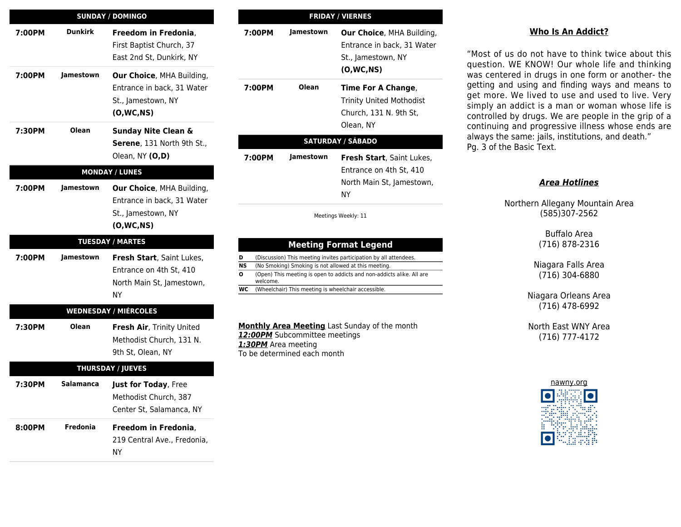|        |                | <b>SUNDAY / DOMINGO</b>                                                                             |
|--------|----------------|-----------------------------------------------------------------------------------------------------|
| 7:00PM | <b>Dunkirk</b> | Freedom in Fredonia,<br>First Baptist Church, 37<br>East 2nd St, Dunkirk, NY                        |
| 7:00PM | Jamestown      | Our Choice, MHA Building,<br>Entrance in back, 31 Water<br>St., Jamestown, NY<br>(0, WC, NS)        |
| 7:30PM | Olean          | <b>Sunday Nite Clean &amp;</b><br>Serene, 131 North 9th St.,<br>Olean, NY (O,D)                     |
|        |                | <b>MONDAY / LUNES</b>                                                                               |
| 7:00PM | Jamestown      | <b>Our Choice, MHA Building,</b><br>Entrance in back, 31 Water<br>St., Jamestown, NY<br>(0, WC, NS) |
|        |                |                                                                                                     |
|        |                | <b>TUESDAY / MARTES</b>                                                                             |
| 7:00PM | Jamestown      | Fresh Start, Saint Lukes,<br>Entrance on 4th St, 410<br>North Main St, Jamestown,<br>ΝY             |
|        |                | <b>WEDNESDAY / MIÉRCOLES</b>                                                                        |
| 7:30PM | <b>Olean</b>   | Fresh Air, Trinity United<br>Methodist Church, 131 N.<br>9th St, Olean, NY                          |
|        |                | <b>THURSDAY / JUEVES</b>                                                                            |
| 7:30PM | Salamanca      | <b>Just for Today, Free</b><br>Methodist Church, 387<br>Center St, Salamanca, NY                    |

| <b>FRIDAY / VIERNES</b> |           |                                                                                                |  |
|-------------------------|-----------|------------------------------------------------------------------------------------------------|--|
| 7:00PM                  | Jamestown | Our Choice, MHA Building,<br>Entrance in back, 31 Water<br>St., Jamestown, NY<br>(O, WC, NS)   |  |
| 7:00PM                  | Olean     | Time For A Change,<br><b>Trinity United Mothodist</b><br>Church, 131 N. 9th St,<br>Olean, NY   |  |
|                         |           | <b>SATURDAY / SÁBADO</b>                                                                       |  |
| 7:00PM                  | Jamestown | <b>Fresh Start, Saint Lukes,</b><br>Entrance on 4th St, 410<br>North Main St, Jamestown,<br>ΝY |  |
|                         |           | Meetings Weekly: 11                                                                            |  |
|                         |           | <b>Meeting Format Legend</b>                                                                   |  |
| D                       |           | (Discussion) This meeting invites participation by all attendees.                              |  |
| NS                      |           | (No Smoking) Smoking is not allowed at this meeting.                                           |  |
| O                       |           | (Open) This meeting is open to addicts and non-addicts alike. All are                          |  |

**O** (Open) This meeting is open to addicts and non-addicts alike. All are welcome.

**WC** (Wheelchair) This meeting is wheelchair accessible.

**Monthly Area Meeting** Last Sunday of the month **12:00PM** Subcommittee meetings *1:30PM* Area meeting To be determined each month

### **Who Is An Addict?**

"Most of us do not have to think twice about this question. WE KNOW! Our whole life and thinking was centered in drugs in one form or another- the getting and using and finding ways and means to get more. We lived to use and used to live. Very simply an addict is a man or woman whose life is controlled by drugs. We are people in the grip of a continuing and progressive illness whose ends are always the same: jails, institutions, and death." Pg. 3 of the Basic Text.

#### *Area Hotlines*

Northern Allegany Mountain Area (585)307-2562

> Buffalo Area (716) 878-2316

Niagara Falls Area (716) 304-6880

Niagara Orleans Area (716) 478-6992

North East WNY Area (716) 777-4172